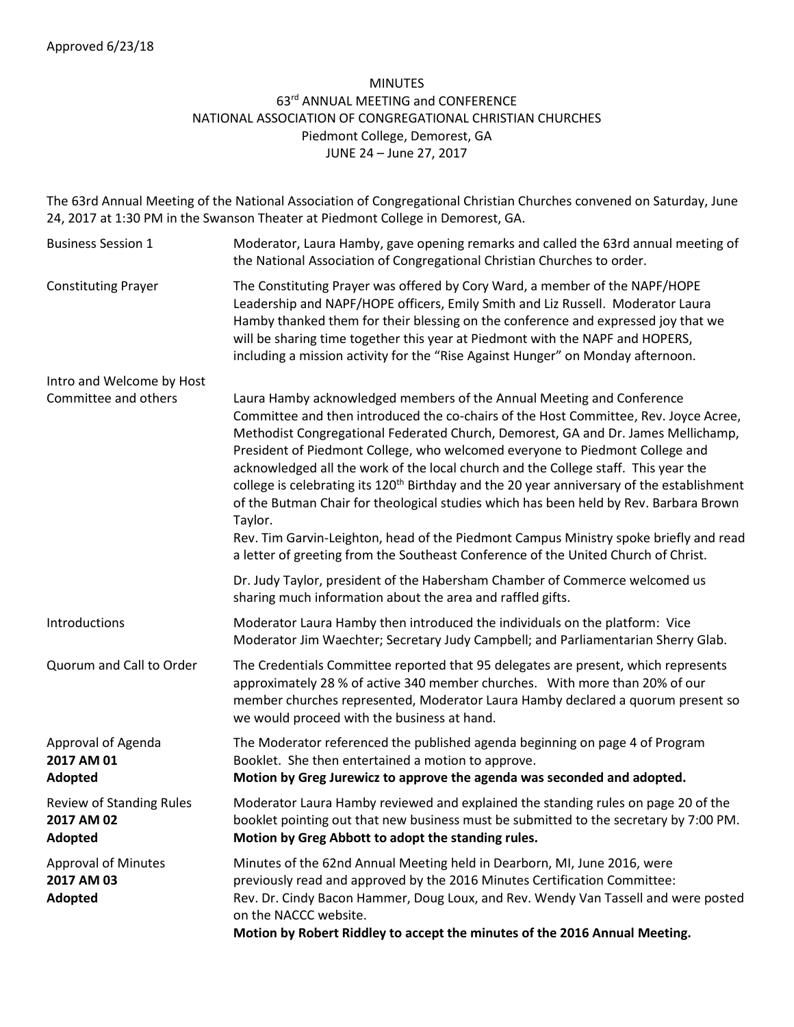#### MINUTES 63<sup>rd</sup> ANNUAL MEETING and CONFERENCE NATIONAL ASSOCIATION OF CONGREGATIONAL CHRISTIAN CHURCHES Piedmont College, Demorest, GA JUNE 24 – June 27, 2017

The 63rd Annual Meeting of the National Association of Congregational Christian Churches convened on Saturday, June 24, 2017 at 1:30 PM in the Swanson Theater at Piedmont College in Demorest, GA.

| <b>Business Session 1</b>                                | Moderator, Laura Hamby, gave opening remarks and called the 63rd annual meeting of<br>the National Association of Congregational Christian Churches to order.                                                                                                                                                                                                                                                                                                                                                                                                                                                                                                                                                                   |
|----------------------------------------------------------|---------------------------------------------------------------------------------------------------------------------------------------------------------------------------------------------------------------------------------------------------------------------------------------------------------------------------------------------------------------------------------------------------------------------------------------------------------------------------------------------------------------------------------------------------------------------------------------------------------------------------------------------------------------------------------------------------------------------------------|
| <b>Constituting Prayer</b>                               | The Constituting Prayer was offered by Cory Ward, a member of the NAPF/HOPE<br>Leadership and NAPF/HOPE officers, Emily Smith and Liz Russell. Moderator Laura<br>Hamby thanked them for their blessing on the conference and expressed joy that we<br>will be sharing time together this year at Piedmont with the NAPF and HOPERS,<br>including a mission activity for the "Rise Against Hunger" on Monday afternoon.                                                                                                                                                                                                                                                                                                         |
| Intro and Welcome by Host                                |                                                                                                                                                                                                                                                                                                                                                                                                                                                                                                                                                                                                                                                                                                                                 |
| Committee and others                                     | Laura Hamby acknowledged members of the Annual Meeting and Conference<br>Committee and then introduced the co-chairs of the Host Committee, Rev. Joyce Acree,<br>Methodist Congregational Federated Church, Demorest, GA and Dr. James Mellichamp,<br>President of Piedmont College, who welcomed everyone to Piedmont College and<br>acknowledged all the work of the local church and the College staff. This year the<br>college is celebrating its 120 <sup>th</sup> Birthday and the 20 year anniversary of the establishment<br>of the Butman Chair for theological studies which has been held by Rev. Barbara Brown<br>Taylor.<br>Rev. Tim Garvin-Leighton, head of the Piedmont Campus Ministry spoke briefly and read |
|                                                          | a letter of greeting from the Southeast Conference of the United Church of Christ.                                                                                                                                                                                                                                                                                                                                                                                                                                                                                                                                                                                                                                              |
|                                                          | Dr. Judy Taylor, president of the Habersham Chamber of Commerce welcomed us<br>sharing much information about the area and raffled gifts.                                                                                                                                                                                                                                                                                                                                                                                                                                                                                                                                                                                       |
| Introductions                                            | Moderator Laura Hamby then introduced the individuals on the platform: Vice<br>Moderator Jim Waechter; Secretary Judy Campbell; and Parliamentarian Sherry Glab.                                                                                                                                                                                                                                                                                                                                                                                                                                                                                                                                                                |
| Quorum and Call to Order                                 | The Credentials Committee reported that 95 delegates are present, which represents<br>approximately 28 % of active 340 member churches. With more than 20% of our<br>member churches represented, Moderator Laura Hamby declared a quorum present so<br>we would proceed with the business at hand.                                                                                                                                                                                                                                                                                                                                                                                                                             |
| Approval of Agenda<br>2017 AM 01<br>Adopted              | The Moderator referenced the published agenda beginning on page 4 of Program<br>Booklet. She then entertained a motion to approve.<br>Motion by Greg Jurewicz to approve the agenda was seconded and adopted.                                                                                                                                                                                                                                                                                                                                                                                                                                                                                                                   |
| <b>Review of Standing Rules</b><br>2017 AM 02<br>Adopted | Moderator Laura Hamby reviewed and explained the standing rules on page 20 of the<br>booklet pointing out that new business must be submitted to the secretary by 7:00 PM.<br>Motion by Greg Abbott to adopt the standing rules.                                                                                                                                                                                                                                                                                                                                                                                                                                                                                                |
| <b>Approval of Minutes</b><br>2017 AM 03<br>Adopted      | Minutes of the 62nd Annual Meeting held in Dearborn, MI, June 2016, were<br>previously read and approved by the 2016 Minutes Certification Committee:<br>Rev. Dr. Cindy Bacon Hammer, Doug Loux, and Rev. Wendy Van Tassell and were posted<br>on the NACCC website.<br>Motion by Robert Riddley to accept the minutes of the 2016 Annual Meeting.                                                                                                                                                                                                                                                                                                                                                                              |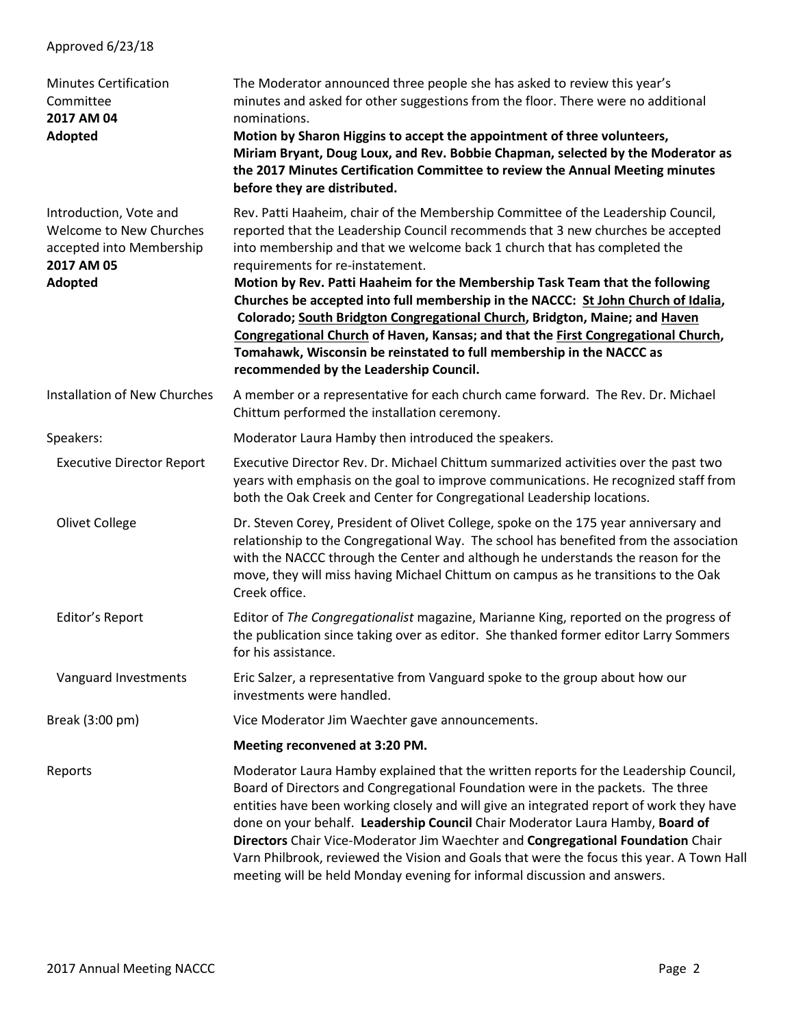# Approved 6/23/18 Minutes Certification The Moderator announced three people she has asked to review this year's Committee minutes and asked for other suggestions from the floor. There were no additional **2017 AM 04 nominations**. **Adopted Motion by Sharon Higgins to accept the appointment of three volunteers, Miriam Bryant, Doug Loux, and Rev. Bobbie Chapman, selected by the Moderator as the 2017 Minutes Certification Committee to review the Annual Meeting minutes before they are distributed.**  Introduction, Vote and Rev. Patti Haaheim, chair of the Membership Committee of the Leadership Council, Welcome to New Churches reported that the Leadership Council recommends that 3 new churches be accepted accepted into Membership into membership and that we welcome back 1 church that has completed the **2017 AM 05** requirements for re-instatement. **Adopted Motion by Rev. Patti Haaheim for the Membership Task Team that the following Churches be accepted into full membership in the NACCC: St John Church of Idalia, Colorado; South Bridgton Congregational Church, Bridgton, Maine; and Haven Congregational Church of Haven, Kansas; and that the First Congregational Church, Tomahawk, Wisconsin be reinstated to full membership in the NACCC as recommended by the Leadership Council.** Installation of New Churches A member or a representative for each church came forward. The Rev. Dr. Michael Chittum performed the installation ceremony. Speakers: Moderator Laura Hamby then introduced the speakers. Executive Director Report Executive Director Rev. Dr. Michael Chittum summarized activities over the past two years with emphasis on the goal to improve communications. He recognized staff from both the Oak Creek and Center for Congregational Leadership locations. Olivet College Dr. Steven Corey, President of Olivet College, spoke on the 175 year anniversary and relationship to the Congregational Way. The school has benefited from the association with the NACCC through the Center and although he understands the reason for the move, they will miss having Michael Chittum on campus as he transitions to the Oak Creek office. Editor's Report Editor of *The Congregationalist* magazine, Marianne King, reported on the progress of the publication since taking over as editor. She thanked former editor Larry Sommers for his assistance. Vanguard Investments Eric Salzer, a representative from Vanguard spoke to the group about how our investments were handled. Break (3:00 pm) Vice Moderator Jim Waechter gave announcements. **Meeting reconvened at 3:20 PM.** Reports **Moderator Laura Hamby explained that the written reports for the Leadership Council,** Board of Directors and Congregational Foundation were in the packets. The three entities have been working closely and will give an integrated report of work they have done on your behalf. **Leadership Council** Chair Moderator Laura Hamby, **Board of Directors** Chair Vice-Moderator Jim Waechter and **Congregational Foundation** Chair Varn Philbrook, reviewed the Vision and Goals that were the focus this year. A Town Hall meeting will be held Monday evening for informal discussion and answers.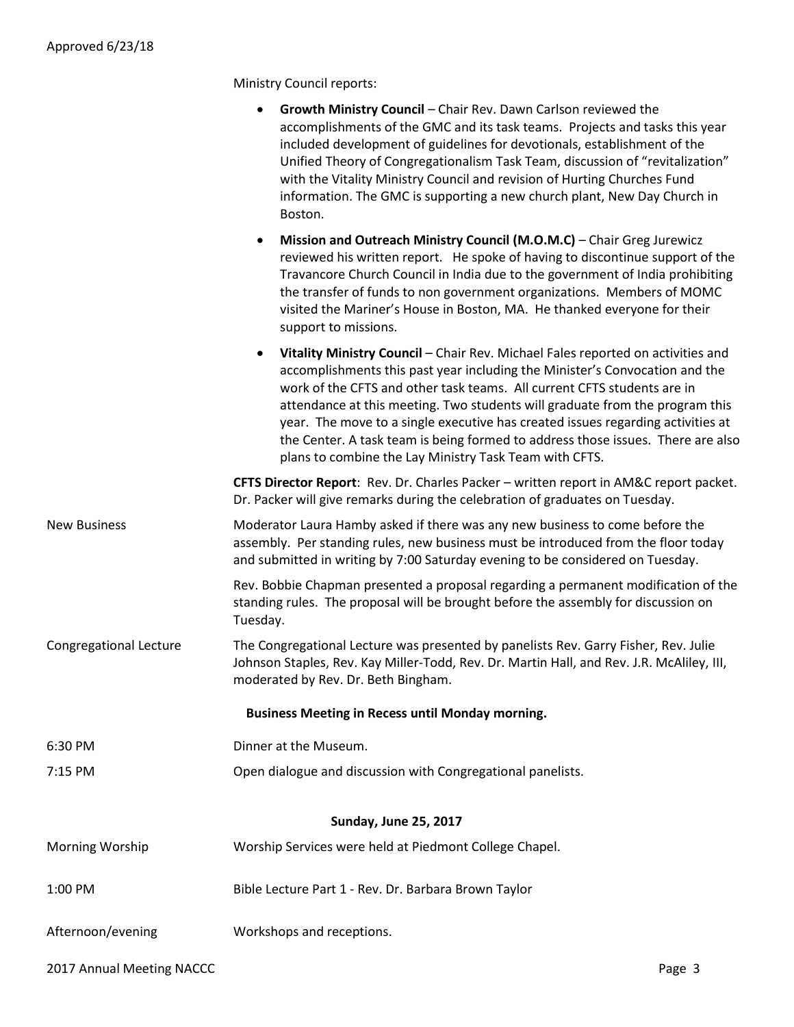Ministry Council reports:

|                           | Growth Ministry Council - Chair Rev. Dawn Carlson reviewed the<br>accomplishments of the GMC and its task teams. Projects and tasks this year<br>included development of guidelines for devotionals, establishment of the<br>Unified Theory of Congregationalism Task Team, discussion of "revitalization"<br>with the Vitality Ministry Council and revision of Hurting Churches Fund<br>information. The GMC is supporting a new church plant, New Day Church in<br>Boston.                                                                             |        |
|---------------------------|-----------------------------------------------------------------------------------------------------------------------------------------------------------------------------------------------------------------------------------------------------------------------------------------------------------------------------------------------------------------------------------------------------------------------------------------------------------------------------------------------------------------------------------------------------------|--------|
|                           | Mission and Outreach Ministry Council (M.O.M.C) - Chair Greg Jurewicz<br>reviewed his written report. He spoke of having to discontinue support of the<br>Travancore Church Council in India due to the government of India prohibiting<br>the transfer of funds to non government organizations. Members of MOMC<br>visited the Mariner's House in Boston, MA. He thanked everyone for their<br>support to missions.                                                                                                                                     |        |
|                           | Vitality Ministry Council - Chair Rev. Michael Fales reported on activities and<br>accomplishments this past year including the Minister's Convocation and the<br>work of the CFTS and other task teams. All current CFTS students are in<br>attendance at this meeting. Two students will graduate from the program this<br>year. The move to a single executive has created issues regarding activities at<br>the Center. A task team is being formed to address those issues. There are also<br>plans to combine the Lay Ministry Task Team with CFTS. |        |
|                           | CFTS Director Report: Rev. Dr. Charles Packer - written report in AM&C report packet.<br>Dr. Packer will give remarks during the celebration of graduates on Tuesday.                                                                                                                                                                                                                                                                                                                                                                                     |        |
| <b>New Business</b>       | Moderator Laura Hamby asked if there was any new business to come before the<br>assembly. Per standing rules, new business must be introduced from the floor today<br>and submitted in writing by 7:00 Saturday evening to be considered on Tuesday.                                                                                                                                                                                                                                                                                                      |        |
|                           | Rev. Bobbie Chapman presented a proposal regarding a permanent modification of the<br>standing rules. The proposal will be brought before the assembly for discussion on<br>Tuesday.                                                                                                                                                                                                                                                                                                                                                                      |        |
| Congregational Lecture    | The Congregational Lecture was presented by panelists Rev. Garry Fisher, Rev. Julie<br>Johnson Staples, Rev. Kay Miller-Todd, Rev. Dr. Martin Hall, and Rev. J.R. McAliley, III,<br>moderated by Rev. Dr. Beth Bingham.                                                                                                                                                                                                                                                                                                                                   |        |
|                           | <b>Business Meeting in Recess until Monday morning.</b>                                                                                                                                                                                                                                                                                                                                                                                                                                                                                                   |        |
| 6:30 PM                   | Dinner at the Museum.                                                                                                                                                                                                                                                                                                                                                                                                                                                                                                                                     |        |
| 7:15 PM                   | Open dialogue and discussion with Congregational panelists.                                                                                                                                                                                                                                                                                                                                                                                                                                                                                               |        |
|                           | <b>Sunday, June 25, 2017</b>                                                                                                                                                                                                                                                                                                                                                                                                                                                                                                                              |        |
| Morning Worship           | Worship Services were held at Piedmont College Chapel.                                                                                                                                                                                                                                                                                                                                                                                                                                                                                                    |        |
| 1:00 PM                   | Bible Lecture Part 1 - Rev. Dr. Barbara Brown Taylor                                                                                                                                                                                                                                                                                                                                                                                                                                                                                                      |        |
| Afternoon/evening         | Workshops and receptions.                                                                                                                                                                                                                                                                                                                                                                                                                                                                                                                                 |        |
| 2017 Annual Meeting NACCC |                                                                                                                                                                                                                                                                                                                                                                                                                                                                                                                                                           | Page 3 |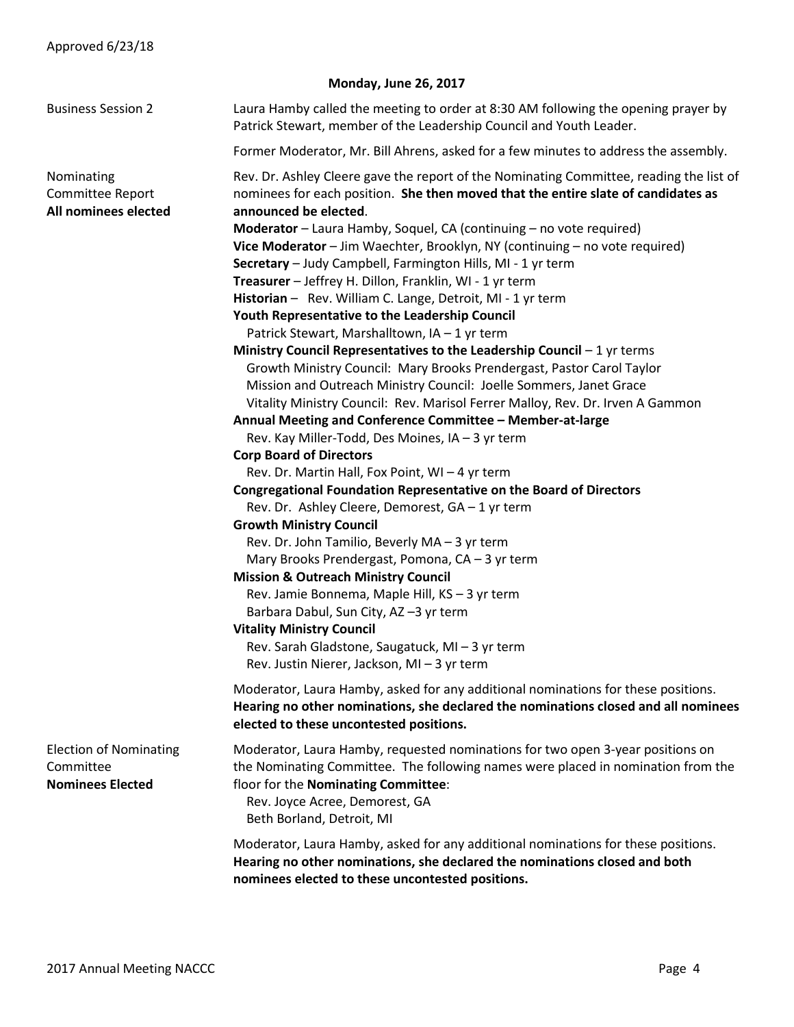|                                                                       | <b>Monday, June 26, 2017</b>                                                                                                                                                                                                                                             |
|-----------------------------------------------------------------------|--------------------------------------------------------------------------------------------------------------------------------------------------------------------------------------------------------------------------------------------------------------------------|
| <b>Business Session 2</b>                                             | Laura Hamby called the meeting to order at 8:30 AM following the opening prayer by<br>Patrick Stewart, member of the Leadership Council and Youth Leader.                                                                                                                |
|                                                                       | Former Moderator, Mr. Bill Ahrens, asked for a few minutes to address the assembly.                                                                                                                                                                                      |
| Nominating<br>Committee Report<br>All nominees elected                | Rev. Dr. Ashley Cleere gave the report of the Nominating Committee, reading the list of<br>nominees for each position. She then moved that the entire slate of candidates as<br>announced be elected.                                                                    |
|                                                                       | Moderator - Laura Hamby, Soquel, CA (continuing - no vote required)<br>Vice Moderator - Jim Waechter, Brooklyn, NY (continuing - no vote required)<br>Secretary - Judy Campbell, Farmington Hills, MI - 1 yr term                                                        |
|                                                                       | Treasurer - Jeffrey H. Dillon, Franklin, WI - 1 yr term                                                                                                                                                                                                                  |
|                                                                       | Historian - Rev. William C. Lange, Detroit, MI - 1 yr term<br>Youth Representative to the Leadership Council                                                                                                                                                             |
|                                                                       | Patrick Stewart, Marshalltown, IA - 1 yr term                                                                                                                                                                                                                            |
|                                                                       | Ministry Council Representatives to the Leadership Council $-1$ yr terms<br>Growth Ministry Council: Mary Brooks Prendergast, Pastor Carol Taylor                                                                                                                        |
|                                                                       | Mission and Outreach Ministry Council: Joelle Sommers, Janet Grace                                                                                                                                                                                                       |
|                                                                       | Vitality Ministry Council: Rev. Marisol Ferrer Malloy, Rev. Dr. Irven A Gammon<br>Annual Meeting and Conference Committee - Member-at-large                                                                                                                              |
|                                                                       | Rev. Kay Miller-Todd, Des Moines, IA - 3 yr term                                                                                                                                                                                                                         |
|                                                                       | <b>Corp Board of Directors</b>                                                                                                                                                                                                                                           |
|                                                                       | Rev. Dr. Martin Hall, Fox Point, WI - 4 yr term                                                                                                                                                                                                                          |
|                                                                       | <b>Congregational Foundation Representative on the Board of Directors</b><br>Rev. Dr. Ashley Cleere, Demorest, GA - 1 yr term                                                                                                                                            |
|                                                                       | <b>Growth Ministry Council</b>                                                                                                                                                                                                                                           |
|                                                                       | Rev. Dr. John Tamilio, Beverly MA - 3 yr term<br>Mary Brooks Prendergast, Pomona, CA - 3 yr term                                                                                                                                                                         |
|                                                                       | <b>Mission &amp; Outreach Ministry Council</b>                                                                                                                                                                                                                           |
|                                                                       | Rev. Jamie Bonnema, Maple Hill, KS - 3 yr term<br>Barbara Dabul, Sun City, AZ-3 yr term                                                                                                                                                                                  |
|                                                                       | <b>Vitality Ministry Council</b>                                                                                                                                                                                                                                         |
|                                                                       | Rev. Sarah Gladstone, Saugatuck, MI - 3 yr term<br>Rev. Justin Nierer, Jackson, MI - 3 yr term                                                                                                                                                                           |
|                                                                       | Moderator, Laura Hamby, asked for any additional nominations for these positions.<br>Hearing no other nominations, she declared the nominations closed and all nominees<br>elected to these uncontested positions.                                                       |
| <b>Election of Nominating</b><br>Committee<br><b>Nominees Elected</b> | Moderator, Laura Hamby, requested nominations for two open 3-year positions on<br>the Nominating Committee. The following names were placed in nomination from the<br>floor for the Nominating Committee:<br>Rev. Joyce Acree, Demorest, GA<br>Beth Borland, Detroit, MI |
|                                                                       | Moderator, Laura Hamby, asked for any additional nominations for these positions.<br>Hearing no other nominations, she declared the nominations closed and both<br>nominees elected to these uncontested positions.                                                      |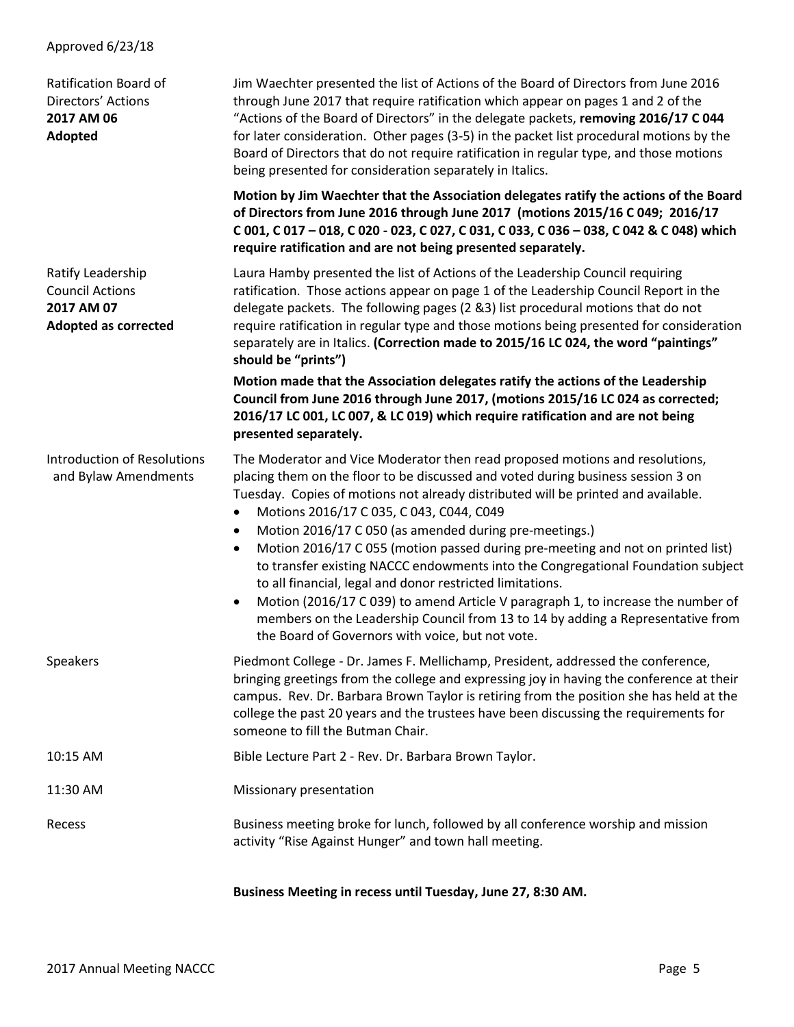### Approved 6/23/18

| Ratification Board of<br>Directors' Actions<br>2017 AM 06<br>Adopted                     | Jim Waechter presented the list of Actions of the Board of Directors from June 2016<br>through June 2017 that require ratification which appear on pages 1 and 2 of the<br>"Actions of the Board of Directors" in the delegate packets, removing 2016/17 C 044<br>for later consideration. Other pages (3-5) in the packet list procedural motions by the<br>Board of Directors that do not require ratification in regular type, and those motions<br>being presented for consideration separately in Italics.                                                                                                                                                                                                                                                                                                                                                                |
|------------------------------------------------------------------------------------------|--------------------------------------------------------------------------------------------------------------------------------------------------------------------------------------------------------------------------------------------------------------------------------------------------------------------------------------------------------------------------------------------------------------------------------------------------------------------------------------------------------------------------------------------------------------------------------------------------------------------------------------------------------------------------------------------------------------------------------------------------------------------------------------------------------------------------------------------------------------------------------|
|                                                                                          | Motion by Jim Waechter that the Association delegates ratify the actions of the Board<br>of Directors from June 2016 through June 2017 (motions 2015/16 C 049; 2016/17<br>C 001, C 017-018, C 020 - 023, C 027, C 031, C 033, C 036-038, C 042 & C 048) which<br>require ratification and are not being presented separately.                                                                                                                                                                                                                                                                                                                                                                                                                                                                                                                                                  |
| Ratify Leadership<br><b>Council Actions</b><br>2017 AM 07<br><b>Adopted as corrected</b> | Laura Hamby presented the list of Actions of the Leadership Council requiring<br>ratification. Those actions appear on page 1 of the Leadership Council Report in the<br>delegate packets. The following pages (2 &3) list procedural motions that do not<br>require ratification in regular type and those motions being presented for consideration<br>separately are in Italics. (Correction made to 2015/16 LC 024, the word "paintings"<br>should be "prints")                                                                                                                                                                                                                                                                                                                                                                                                            |
|                                                                                          | Motion made that the Association delegates ratify the actions of the Leadership<br>Council from June 2016 through June 2017, (motions 2015/16 LC 024 as corrected;<br>2016/17 LC 001, LC 007, & LC 019) which require ratification and are not being<br>presented separately.                                                                                                                                                                                                                                                                                                                                                                                                                                                                                                                                                                                                  |
| <b>Introduction of Resolutions</b><br>and Bylaw Amendments                               | The Moderator and Vice Moderator then read proposed motions and resolutions,<br>placing them on the floor to be discussed and voted during business session 3 on<br>Tuesday. Copies of motions not already distributed will be printed and available.<br>Motions 2016/17 C 035, C 043, C044, C049<br>$\bullet$<br>Motion 2016/17 C 050 (as amended during pre-meetings.)<br>$\bullet$<br>Motion 2016/17 C 055 (motion passed during pre-meeting and not on printed list)<br>$\bullet$<br>to transfer existing NACCC endowments into the Congregational Foundation subject<br>to all financial, legal and donor restricted limitations.<br>Motion (2016/17 C 039) to amend Article V paragraph 1, to increase the number of<br>$\bullet$<br>members on the Leadership Council from 13 to 14 by adding a Representative from<br>the Board of Governors with voice, but not vote. |
| <b>Speakers</b>                                                                          | Piedmont College - Dr. James F. Mellichamp, President, addressed the conference,<br>bringing greetings from the college and expressing joy in having the conference at their<br>campus. Rev. Dr. Barbara Brown Taylor is retiring from the position she has held at the<br>college the past 20 years and the trustees have been discussing the requirements for<br>someone to fill the Butman Chair.                                                                                                                                                                                                                                                                                                                                                                                                                                                                           |
| 10:15 AM                                                                                 | Bible Lecture Part 2 - Rev. Dr. Barbara Brown Taylor.                                                                                                                                                                                                                                                                                                                                                                                                                                                                                                                                                                                                                                                                                                                                                                                                                          |
| 11:30 AM                                                                                 | Missionary presentation                                                                                                                                                                                                                                                                                                                                                                                                                                                                                                                                                                                                                                                                                                                                                                                                                                                        |
| Recess                                                                                   | Business meeting broke for lunch, followed by all conference worship and mission<br>activity "Rise Against Hunger" and town hall meeting.                                                                                                                                                                                                                                                                                                                                                                                                                                                                                                                                                                                                                                                                                                                                      |

**Business Meeting in recess until Tuesday, June 27, 8:30 AM.**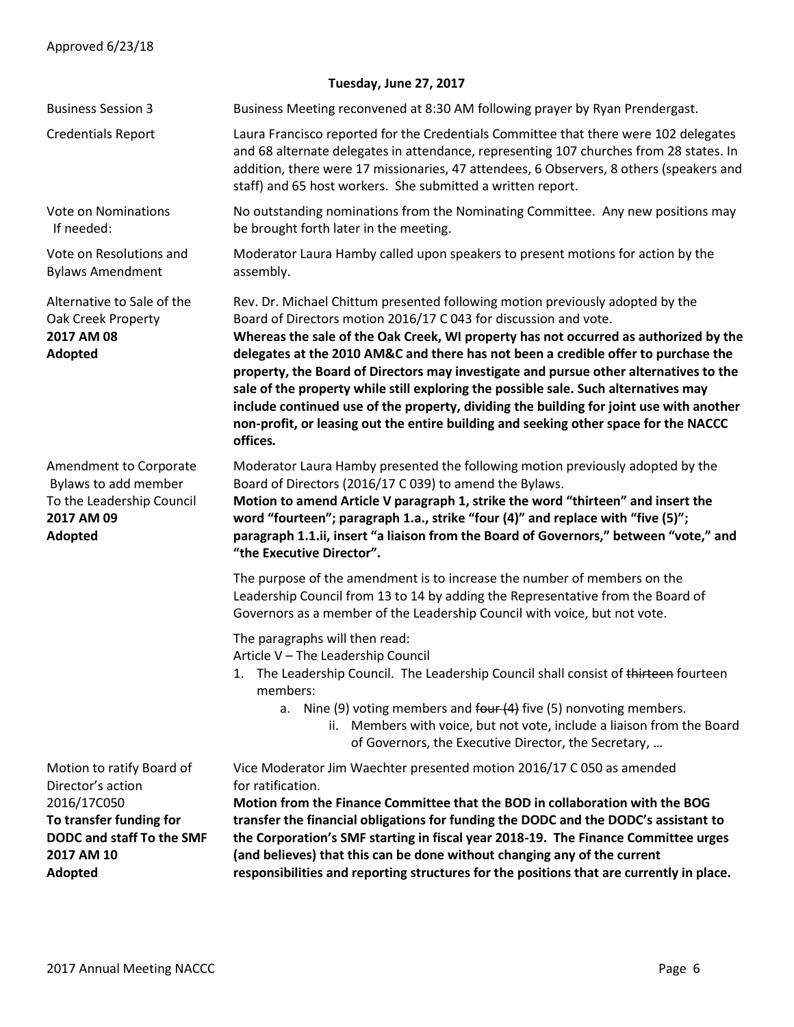| Tuesday, June 27, 2017                                                                                                                         |                                                                                                                                                                                                                                                                                                                                                                                                                                                                                                                                                                                                                                                                                                                |
|------------------------------------------------------------------------------------------------------------------------------------------------|----------------------------------------------------------------------------------------------------------------------------------------------------------------------------------------------------------------------------------------------------------------------------------------------------------------------------------------------------------------------------------------------------------------------------------------------------------------------------------------------------------------------------------------------------------------------------------------------------------------------------------------------------------------------------------------------------------------|
| <b>Business Session 3</b>                                                                                                                      | Business Meeting reconvened at 8:30 AM following prayer by Ryan Prendergast.                                                                                                                                                                                                                                                                                                                                                                                                                                                                                                                                                                                                                                   |
| <b>Credentials Report</b>                                                                                                                      | Laura Francisco reported for the Credentials Committee that there were 102 delegates<br>and 68 alternate delegates in attendance, representing 107 churches from 28 states. In<br>addition, there were 17 missionaries, 47 attendees, 6 Observers, 8 others (speakers and<br>staff) and 65 host workers. She submitted a written report.                                                                                                                                                                                                                                                                                                                                                                       |
| <b>Vote on Nominations</b><br>If needed:                                                                                                       | No outstanding nominations from the Nominating Committee. Any new positions may<br>be brought forth later in the meeting.                                                                                                                                                                                                                                                                                                                                                                                                                                                                                                                                                                                      |
| Vote on Resolutions and<br><b>Bylaws Amendment</b>                                                                                             | Moderator Laura Hamby called upon speakers to present motions for action by the<br>assembly.                                                                                                                                                                                                                                                                                                                                                                                                                                                                                                                                                                                                                   |
| Alternative to Sale of the<br>Oak Creek Property<br>2017 AM 08<br>Adopted                                                                      | Rev. Dr. Michael Chittum presented following motion previously adopted by the<br>Board of Directors motion 2016/17 C 043 for discussion and vote.<br>Whereas the sale of the Oak Creek, WI property has not occurred as authorized by the<br>delegates at the 2010 AM&C and there has not been a credible offer to purchase the<br>property, the Board of Directors may investigate and pursue other alternatives to the<br>sale of the property while still exploring the possible sale. Such alternatives may<br>include continued use of the property, dividing the building for joint use with another<br>non-profit, or leasing out the entire building and seeking other space for the NACCC<br>offices. |
| Amendment to Corporate<br>Bylaws to add member<br>To the Leadership Council<br>2017 AM 09<br>Adopted                                           | Moderator Laura Hamby presented the following motion previously adopted by the<br>Board of Directors (2016/17 C 039) to amend the Bylaws.<br>Motion to amend Article V paragraph 1, strike the word "thirteen" and insert the<br>word "fourteen"; paragraph 1.a., strike "four (4)" and replace with "five (5)";<br>paragraph 1.1.ii, insert "a liaison from the Board of Governors," between "vote," and<br>"the Executive Director".                                                                                                                                                                                                                                                                         |
|                                                                                                                                                | The purpose of the amendment is to increase the number of members on the<br>Leadership Council from 13 to 14 by adding the Representative from the Board of<br>Governors as a member of the Leadership Council with voice, but not vote.                                                                                                                                                                                                                                                                                                                                                                                                                                                                       |
|                                                                                                                                                | The paragraphs will then read:<br>Article V - The Leadership Council<br>The Leadership Council. The Leadership Council shall consist of thirteen fourteen<br>members:<br>a. Nine (9) voting members and four $(4)$ five (5) nonvoting members.<br>ii. Members with voice, but not vote, include a liaison from the Board<br>of Governors, the Executive Director, the Secretary,                                                                                                                                                                                                                                                                                                                               |
| Motion to ratify Board of<br>Director's action<br>2016/17C050<br>To transfer funding for<br>DODC and staff To the SMF<br>2017 AM 10<br>Adopted | Vice Moderator Jim Waechter presented motion 2016/17 C 050 as amended<br>for ratification.<br>Motion from the Finance Committee that the BOD in collaboration with the BOG<br>transfer the financial obligations for funding the DODC and the DODC's assistant to<br>the Corporation's SMF starting in fiscal year 2018-19. The Finance Committee urges<br>(and believes) that this can be done without changing any of the current<br>responsibilities and reporting structures for the positions that are currently in place.                                                                                                                                                                                |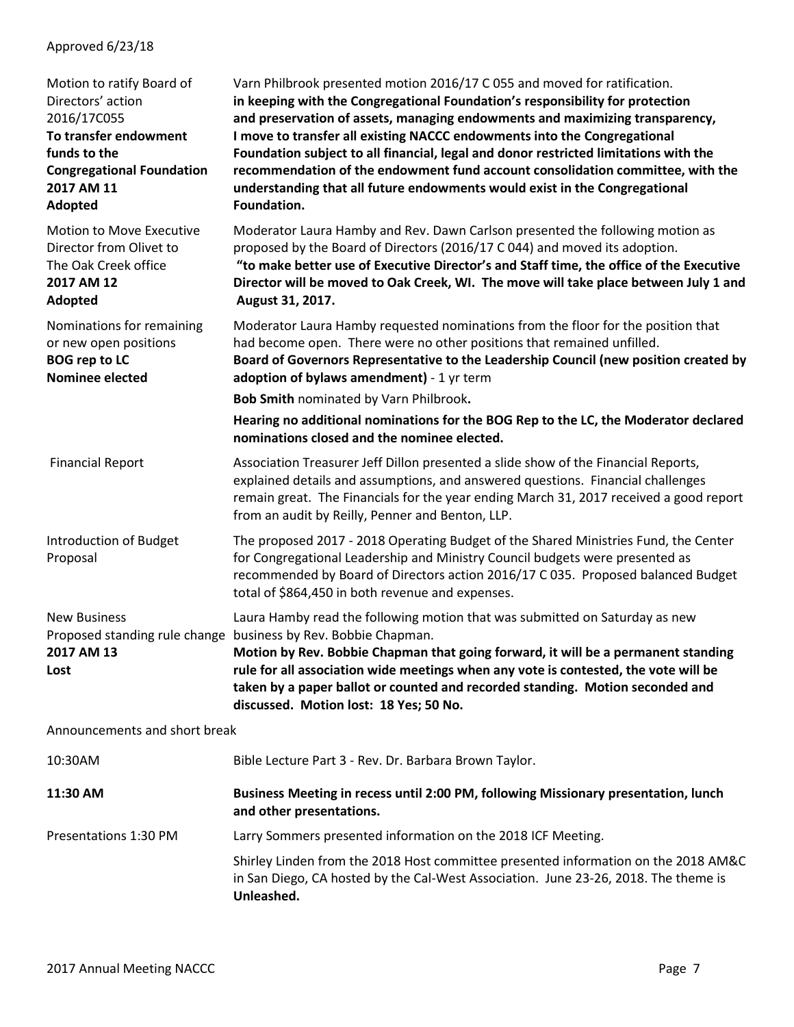## Approved 6/23/18

| Motion to ratify Board of<br>Directors' action<br>2016/17C055<br>To transfer endowment<br>funds to the<br><b>Congregational Foundation</b><br>2017 AM 11<br>Adopted | Varn Philbrook presented motion 2016/17 C 055 and moved for ratification.<br>in keeping with the Congregational Foundation's responsibility for protection<br>and preservation of assets, managing endowments and maximizing transparency,<br>I move to transfer all existing NACCC endowments into the Congregational<br>Foundation subject to all financial, legal and donor restricted limitations with the<br>recommendation of the endowment fund account consolidation committee, with the<br>understanding that all future endowments would exist in the Congregational<br>Foundation. |
|---------------------------------------------------------------------------------------------------------------------------------------------------------------------|-----------------------------------------------------------------------------------------------------------------------------------------------------------------------------------------------------------------------------------------------------------------------------------------------------------------------------------------------------------------------------------------------------------------------------------------------------------------------------------------------------------------------------------------------------------------------------------------------|
| Motion to Move Executive<br>Director from Olivet to<br>The Oak Creek office<br>2017 AM 12<br><b>Adopted</b>                                                         | Moderator Laura Hamby and Rev. Dawn Carlson presented the following motion as<br>proposed by the Board of Directors (2016/17 C 044) and moved its adoption.<br>"to make better use of Executive Director's and Staff time, the office of the Executive<br>Director will be moved to Oak Creek, WI. The move will take place between July 1 and<br>August 31, 2017.                                                                                                                                                                                                                            |
| Nominations for remaining<br>or new open positions<br><b>BOG rep to LC</b><br><b>Nominee elected</b>                                                                | Moderator Laura Hamby requested nominations from the floor for the position that<br>had become open. There were no other positions that remained unfilled.<br>Board of Governors Representative to the Leadership Council (new position created by<br>adoption of bylaws amendment) - 1 yr term                                                                                                                                                                                                                                                                                               |
|                                                                                                                                                                     | Bob Smith nominated by Varn Philbrook.                                                                                                                                                                                                                                                                                                                                                                                                                                                                                                                                                        |
|                                                                                                                                                                     | Hearing no additional nominations for the BOG Rep to the LC, the Moderator declared<br>nominations closed and the nominee elected.                                                                                                                                                                                                                                                                                                                                                                                                                                                            |
| <b>Financial Report</b>                                                                                                                                             | Association Treasurer Jeff Dillon presented a slide show of the Financial Reports,<br>explained details and assumptions, and answered questions. Financial challenges<br>remain great. The Financials for the year ending March 31, 2017 received a good report<br>from an audit by Reilly, Penner and Benton, LLP.                                                                                                                                                                                                                                                                           |
| Introduction of Budget<br>Proposal                                                                                                                                  | The proposed 2017 - 2018 Operating Budget of the Shared Ministries Fund, the Center<br>for Congregational Leadership and Ministry Council budgets were presented as<br>recommended by Board of Directors action 2016/17 C 035. Proposed balanced Budget<br>total of \$864,450 in both revenue and expenses.                                                                                                                                                                                                                                                                                   |
| <b>New Business</b><br>2017 AM 13<br>Lost                                                                                                                           | Laura Hamby read the following motion that was submitted on Saturday as new<br>Proposed standing rule change business by Rev. Bobbie Chapman.<br>Motion by Rev. Bobbie Chapman that going forward, it will be a permanent standing<br>rule for all association wide meetings when any vote is contested, the vote will be<br>taken by a paper ballot or counted and recorded standing. Motion seconded and<br>discussed. Motion lost: 18 Yes; 50 No.                                                                                                                                          |
| Announcements and short break                                                                                                                                       |                                                                                                                                                                                                                                                                                                                                                                                                                                                                                                                                                                                               |
| 10:30AM                                                                                                                                                             | Bible Lecture Part 3 - Rev. Dr. Barbara Brown Taylor.                                                                                                                                                                                                                                                                                                                                                                                                                                                                                                                                         |
| 11:30 AM                                                                                                                                                            | Business Meeting in recess until 2:00 PM, following Missionary presentation, lunch<br>and other presentations.                                                                                                                                                                                                                                                                                                                                                                                                                                                                                |
| Presentations 1:30 PM                                                                                                                                               | Larry Sommers presented information on the 2018 ICF Meeting.                                                                                                                                                                                                                                                                                                                                                                                                                                                                                                                                  |
|                                                                                                                                                                     | Shirley Linden from the 2018 Host committee presented information on the 2018 AM&C<br>in San Diego, CA hosted by the Cal-West Association. June 23-26, 2018. The theme is<br>Unleashed.                                                                                                                                                                                                                                                                                                                                                                                                       |